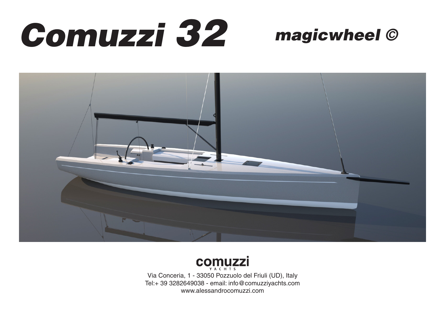





Via Conceria, 1 - 33050 Pozzuolo del Friuli (UD), Italy Tel:+ 39 3282649038 - email: info@comuzziyachts.com www.alessandrocomuzzi.com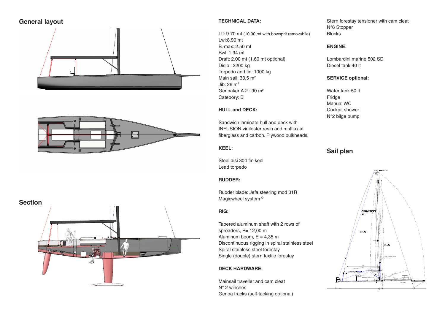# **General layout**







### **TECHNICAL DATA:**

Lft: 9.70 mt (10.90 mt with bowsprit removabile) Lwl:8.90 mt B. max: 2.50 mt Bwl: 1.94 mt Draft: 2.00 mt (1.60 mt optional) Dislp : 2200 kg Torpedo and fin: 1000 kg Main sail:  $33.5 \text{ m}^2$ Jib: 26 m2 Gennaker A.2 : 90 m2 Catebory: B

#### **HULL and DECK:**

Sandwich laminate hull and deck with INFUSION vinilester resin and multiaxial fiberglass and carbon. Plywood bulkheads.

**KEEL:**

Steel aisi 304 fin keel Lead torpedo

# **RUDDER:**

Rudder blade: Jefa steering mod 31R Magicwheel system<sup>®</sup>

# **RIG:**

Tapered aluminum shaft with 2 rows of spreaders, P= 12,00 m Aluminum boom,  $E = 4,35$  m Discontinuous rigging in spiral stainless steel Spiral stainless steel forestay Single (double) stern textile forestay

# **DECK HARDWARE:**

Mainsail traveller and cam cleat N° 2 winches Genoa tracks (self-tacking optional)

Stern forestay tensioner with cam cleat N°6 Stopper Blocks

## **ENGINE:**

Lombardini marine 502 SD Diesel tank 40 lt

### **SERVICE optional:**

Water tank 50 lt Fridge Manual WC Cockpit shower N°2 bilge pump

# **Sail plan**

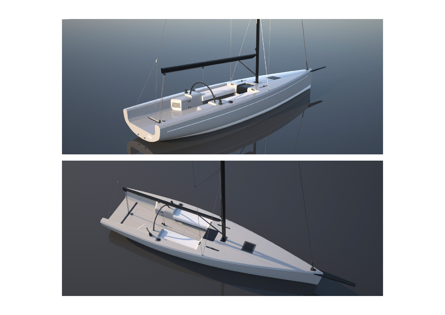